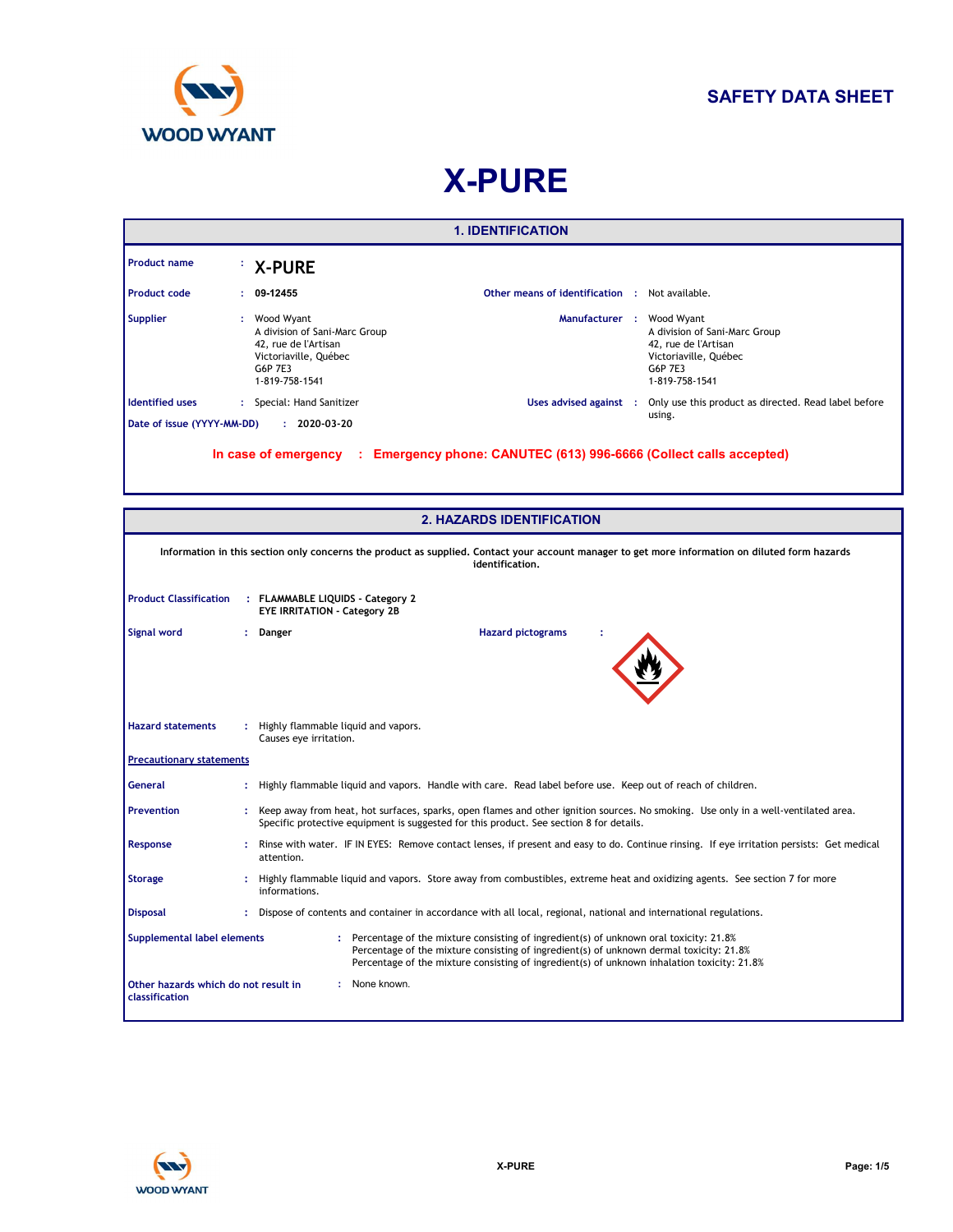

# **X-PURE**

|                                                                         | <b>1. IDENTIFICATION</b>                                                                                                                                                                                                                                                                                         |                                                                                                                                                                                                                                 |                                                                                                                                                                    |  |  |
|-------------------------------------------------------------------------|------------------------------------------------------------------------------------------------------------------------------------------------------------------------------------------------------------------------------------------------------------------------------------------------------------------|---------------------------------------------------------------------------------------------------------------------------------------------------------------------------------------------------------------------------------|--------------------------------------------------------------------------------------------------------------------------------------------------------------------|--|--|
| <b>Product name</b>                                                     |                                                                                                                                                                                                                                                                                                                  | <b>X-PURE</b>                                                                                                                                                                                                                   |                                                                                                                                                                    |  |  |
| <b>Product code</b>                                                     |                                                                                                                                                                                                                                                                                                                  | 09-12455                                                                                                                                                                                                                        | Other means of identification : Not available.                                                                                                                     |  |  |
| <b>Supplier</b>                                                         | ÷.                                                                                                                                                                                                                                                                                                               | Wood Wyant<br>A division of Sani-Marc Group<br>42. rue de l'Artisan<br>Victoriaville, Québec<br>G6P 7E3<br>1-819-758-1541                                                                                                       | Manufacturer :<br>Wood Wyant<br>A division of Sani-Marc Group<br>42. rue de l'Artisan<br>Victoriaville, Québec<br>G6P 7E3<br>1-819-758-1541                        |  |  |
| <b>Identified uses</b>                                                  |                                                                                                                                                                                                                                                                                                                  | : Special: Hand Sanitizer                                                                                                                                                                                                       | Uses advised against :<br>Only use this product as directed. Read label before                                                                                     |  |  |
| Date of issue (YYYY-MM-DD)                                              |                                                                                                                                                                                                                                                                                                                  | $: 2020 - 03 - 20$                                                                                                                                                                                                              | using.                                                                                                                                                             |  |  |
|                                                                         |                                                                                                                                                                                                                                                                                                                  |                                                                                                                                                                                                                                 | In case of emergency : Emergency phone: CANUTEC (613) 996-6666 (Collect calls accepted)<br><b>2. HAZARDS IDENTIFICATION</b>                                        |  |  |
|                                                                         |                                                                                                                                                                                                                                                                                                                  |                                                                                                                                                                                                                                 |                                                                                                                                                                    |  |  |
|                                                                         |                                                                                                                                                                                                                                                                                                                  |                                                                                                                                                                                                                                 | Information in this section only concerns the product as supplied. Contact your account manager to get more information on diluted form hazards<br>identification. |  |  |
| <b>Product Classification</b>                                           |                                                                                                                                                                                                                                                                                                                  | : FLAMMABLE LIQUIDS - Category 2<br><b>EYE IRRITATION - Category 2B</b>                                                                                                                                                         |                                                                                                                                                                    |  |  |
| Signal word                                                             | ÷.                                                                                                                                                                                                                                                                                                               | Danger                                                                                                                                                                                                                          | <b>Hazard pictograms</b>                                                                                                                                           |  |  |
| <b>Hazard statements</b>                                                | : Highly flammable liquid and vapors.<br>Causes eye irritation.                                                                                                                                                                                                                                                  |                                                                                                                                                                                                                                 |                                                                                                                                                                    |  |  |
| <b>Precautionary statements</b>                                         |                                                                                                                                                                                                                                                                                                                  |                                                                                                                                                                                                                                 |                                                                                                                                                                    |  |  |
| General                                                                 |                                                                                                                                                                                                                                                                                                                  |                                                                                                                                                                                                                                 | : Highly flammable liquid and vapors. Handle with care. Read label before use. Keep out of reach of children.                                                      |  |  |
| <b>Prevention</b>                                                       |                                                                                                                                                                                                                                                                                                                  | : Keep away from heat, hot surfaces, sparks, open flames and other ignition sources. No smoking. Use only in a well-ventilated area.<br>Specific protective equipment is suggested for this product. See section 8 for details. |                                                                                                                                                                    |  |  |
| Response                                                                |                                                                                                                                                                                                                                                                                                                  | attention.                                                                                                                                                                                                                      | : Rinse with water. IF IN EYES: Remove contact lenses, if present and easy to do. Continue rinsing. If eye irritation persists: Get medical                        |  |  |
| <b>Storage</b>                                                          |                                                                                                                                                                                                                                                                                                                  | informations.                                                                                                                                                                                                                   | Highly flammable liquid and vapors. Store away from combustibles, extreme heat and oxidizing agents. See section 7 for more                                        |  |  |
| <b>Disposal</b>                                                         |                                                                                                                                                                                                                                                                                                                  |                                                                                                                                                                                                                                 | : Dispose of contents and container in accordance with all local, regional, national and international regulations.                                                |  |  |
|                                                                         | Supplemental label elements<br>: Percentage of the mixture consisting of ingredient(s) of unknown oral toxicity: 21.8%<br>Percentage of the mixture consisting of ingredient(s) of unknown dermal toxicity: 21.8%<br>Percentage of the mixture consisting of ingredient(s) of unknown inhalation toxicity: 21.8% |                                                                                                                                                                                                                                 |                                                                                                                                                                    |  |  |
| : None known.<br>Other hazards which do not result in<br>classification |                                                                                                                                                                                                                                                                                                                  |                                                                                                                                                                                                                                 |                                                                                                                                                                    |  |  |

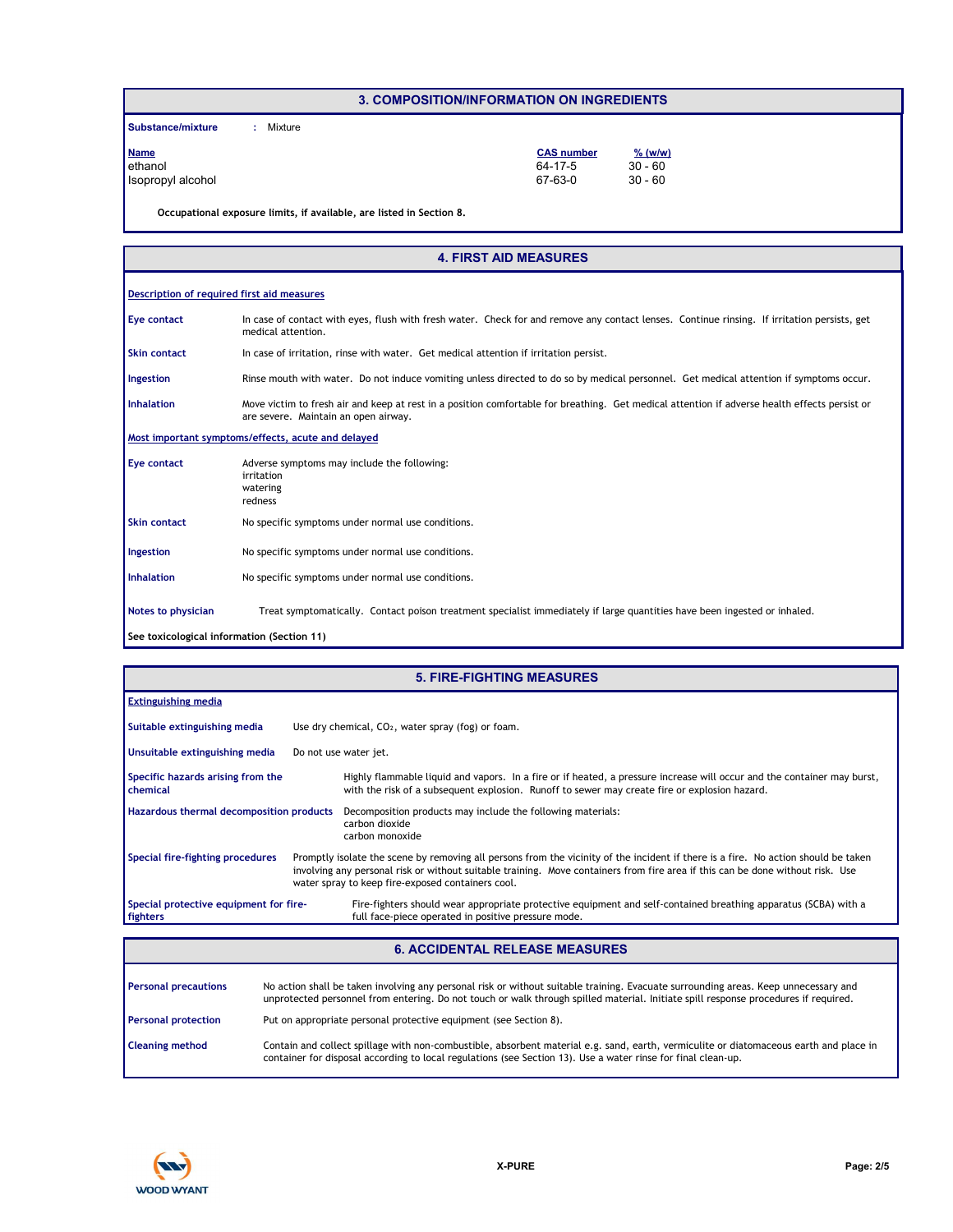#### **3. COMPOSITION/INFORMATION ON INGREDIENTS**

**Substance/mixture :** : Mixture

| <b>Name</b>       | <b>CAS number</b> | $%$ (w/w) |
|-------------------|-------------------|-----------|
| ethanol           | 64-17-5           | $30 - 60$ |
| Isopropyl alcohol | 67-63-0           | $30 - 60$ |

**Occupational exposure limits, if available, are listed in Section 8.**

#### **4. FIRST AID MEASURES**

#### **Description of required first aid measures**

In case of contact with eyes, flush with fresh water. Check for and remove any contact lenses. Continue rinsing. If irritation persists, get medical attention. **Eye contact**

In case of irritation, rinse with water. Get medical attention if irritation persist. **Skin contact**

Rinse mouth with water. Do not induce vomiting unless directed to do so by medical personnel. Get medical attention if symptoms occur. **Ingestion**

Move victim to fresh air and keep at rest in a position comfortable for breathing. Get medical attention if adverse health effects persist or are severe. Maintain an open airway. **Inhalation**

**Most important symptoms/effects, acute and delayed**

| Eye contact         | Adverse symptoms may include the following:<br>irritation<br>watering<br>redness                                          |  |  |
|---------------------|---------------------------------------------------------------------------------------------------------------------------|--|--|
| <b>Skin contact</b> | No specific symptoms under normal use conditions.                                                                         |  |  |
| Ingestion           | No specific symptoms under normal use conditions.                                                                         |  |  |
| <b>Inhalation</b>   | No specific symptoms under normal use conditions.                                                                         |  |  |
| Notes to physician  | Treat symptomatically. Contact poison treatment specialist immediately if large quantities have been ingested or inhaled. |  |  |

**See toxicological information (Section 11)**

#### Promptly isolate the scene by removing all persons from the vicinity of the incident if there is a fire. No action should be taken involving any personal risk or without suitable training. Move containers from fire area if this can be done without risk. Use water spray to keep fire-exposed containers cool. **Hazardous thermal decomposition products** Decomposition products may include the following materials: **Specific hazards arising from the chemical** carbon dioxide carbon monoxide Highly flammable liquid and vapors. In a fire or if heated, a pressure increase will occur and the container may burst, with the risk of a subsequent explosion. Runoff to sewer may create fire or explosion hazard. Fire-fighters should wear appropriate protective equipment and self-contained breathing apparatus (SCBA) with a full face-piece operated in positive pressure mode. **Special protective equipment for firefighters** Use dry chemical, CO<sub>2</sub>, water spray (fog) or foam. **Extinguishing media** Do not use water jet. **Suitable extinguishing media Unsuitable extinguishing media Special fire-fighting procedures 5. FIRE-FIGHTING MEASURES**

#### **6. ACCIDENTAL RELEASE MEASURES**

| <b>Personal precautions</b> | No action shall be taken involving any personal risk or without suitable training. Evacuate surrounding areas. Keep unnecessary and<br>unprotected personnel from entering. Do not touch or walk through spilled material. Initiate spill response procedures if required. |
|-----------------------------|----------------------------------------------------------------------------------------------------------------------------------------------------------------------------------------------------------------------------------------------------------------------------|
| <b>Personal protection</b>  | Put on appropriate personal protective equipment (see Section 8).                                                                                                                                                                                                          |
| <b>Cleaning method</b>      | Contain and collect spillage with non-combustible, absorbent material e.g. sand, earth, vermiculite or diatomaceous earth and place in<br>container for disposal according to local regulations (see Section 13). Use a water rinse for final clean-up.                    |

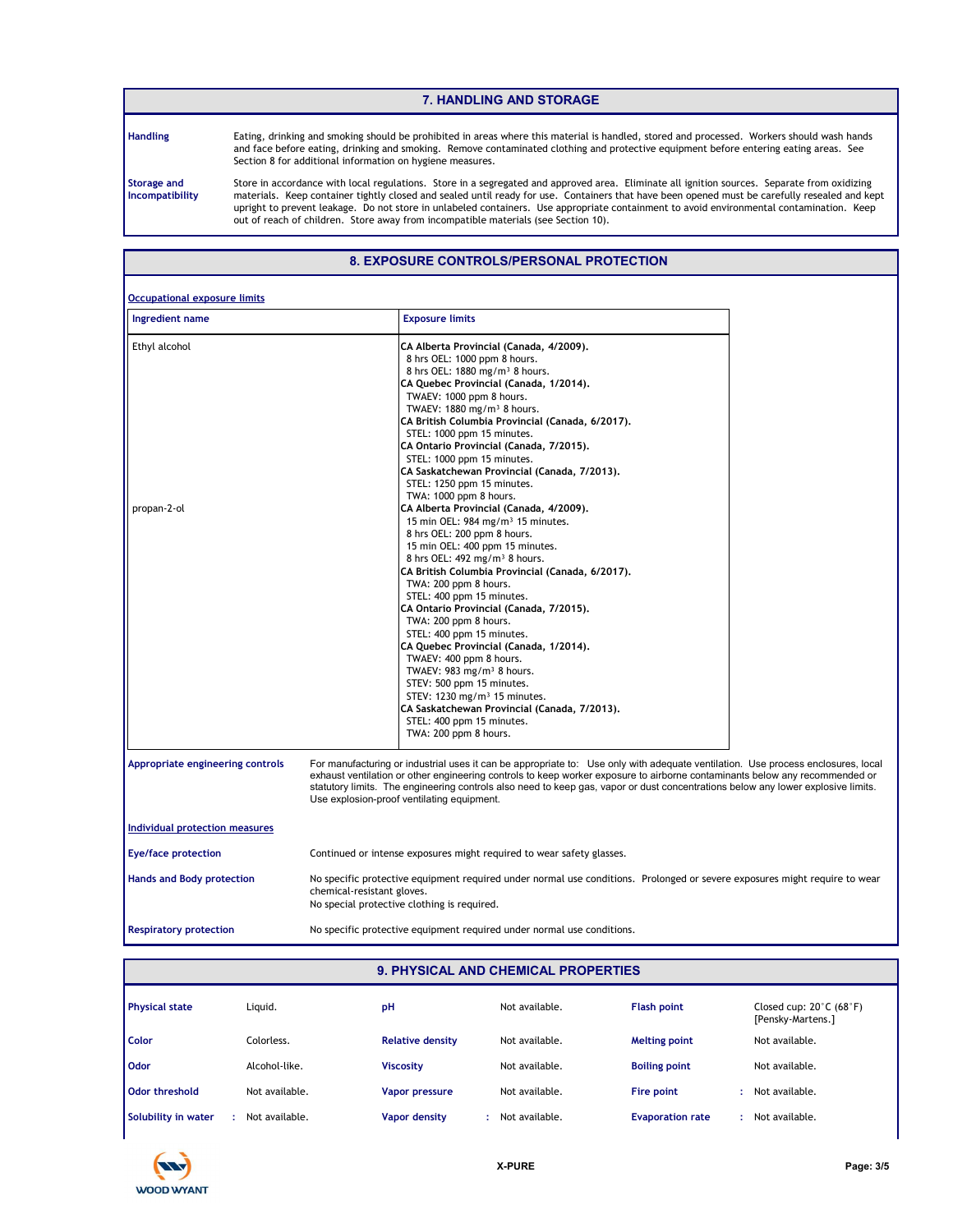#### **7. HANDLING AND STORAGE**

**Handling**

Eating, drinking and smoking should be prohibited in areas where this material is handled, stored and processed. Workers should wash hands and face before eating, drinking and smoking. Remove contaminated clothing and protective equipment before entering eating areas. See Section 8 for additional information on hygiene measures.

**Storage and Incompatibility**

Store in accordance with local regulations. Store in a segregated and approved area. Eliminate all ignition sources. Separate from oxidizing materials. Keep container tightly closed and sealed until ready for use. Containers that have been opened must be carefully resealed and kept upright to prevent leakage. Do not store in unlabeled containers. Use appropriate containment to avoid environmental contamination. Keep out of reach of children. Store away from incompatible materials (see Section 10).

## **8. EXPOSURE CONTROLS/PERSONAL PROTECTION**

| <b>Occupational exposure limits</b> |                                                                                                                                                                                                                                                                                                                                                                                                                                                                                                                                                                                                                                                                                                                                                                                                                                                                                                                                                                                                                                                                                                                                                                                                                            |
|-------------------------------------|----------------------------------------------------------------------------------------------------------------------------------------------------------------------------------------------------------------------------------------------------------------------------------------------------------------------------------------------------------------------------------------------------------------------------------------------------------------------------------------------------------------------------------------------------------------------------------------------------------------------------------------------------------------------------------------------------------------------------------------------------------------------------------------------------------------------------------------------------------------------------------------------------------------------------------------------------------------------------------------------------------------------------------------------------------------------------------------------------------------------------------------------------------------------------------------------------------------------------|
| Ingredient name                     | <b>Exposure limits</b>                                                                                                                                                                                                                                                                                                                                                                                                                                                                                                                                                                                                                                                                                                                                                                                                                                                                                                                                                                                                                                                                                                                                                                                                     |
| Ethyl alcohol<br>propan-2-ol        | CA Alberta Provincial (Canada, 4/2009).<br>8 hrs OEL: 1000 ppm 8 hours.<br>8 hrs OEL: 1880 mg/m <sup>3</sup> 8 hours.<br>CA Quebec Provincial (Canada, 1/2014).<br>TWAEV: 1000 ppm 8 hours.<br>TWAEV: 1880 mg/m <sup>3</sup> 8 hours.<br>CA British Columbia Provincial (Canada, 6/2017).<br>STEL: 1000 ppm 15 minutes.<br>CA Ontario Provincial (Canada, 7/2015).<br>STEL: 1000 ppm 15 minutes.<br>CA Saskatchewan Provincial (Canada, 7/2013).<br>STEL: 1250 ppm 15 minutes.<br>TWA: 1000 ppm 8 hours.<br>CA Alberta Provincial (Canada, 4/2009).<br>15 min OEL: 984 mg/m <sup>3</sup> 15 minutes.<br>8 hrs OEL: 200 ppm 8 hours.<br>15 min OEL: 400 ppm 15 minutes.<br>8 hrs OEL: 492 mg/m <sup>3</sup> 8 hours.<br>CA British Columbia Provincial (Canada, 6/2017).<br>TWA: 200 ppm 8 hours.<br>STEL: 400 ppm 15 minutes.<br>CA Ontario Provincial (Canada, 7/2015).<br>TWA: 200 ppm 8 hours.<br>STEL: 400 ppm 15 minutes.<br>CA Quebec Provincial (Canada, 1/2014).<br>TWAEV: 400 ppm 8 hours.<br>TWAEV: $983 \text{ mg/m}^3$ 8 hours.<br>STEV: 500 ppm 15 minutes.<br>STEV: 1230 mg/m <sup>3</sup> 15 minutes.<br>CA Saskatchewan Provincial (Canada, 7/2013).<br>STEL: 400 ppm 15 minutes.<br>TWA: 200 ppm 8 hours. |
| Appropriate engineering controls    | For manufacturing or industrial uses it can be appropriate to: Use only with adequate ventilation. Use process enclosures, local<br>exhaust ventilation or other engineering controls to keep worker exposure to airborne contaminants below any recommended or<br>statutory limits. The engineering controls also need to keep gas, vapor or dust concentrations below any lower explosive limits.<br>Use explosion-proof ventilating equipment.                                                                                                                                                                                                                                                                                                                                                                                                                                                                                                                                                                                                                                                                                                                                                                          |
| Individual protection measures      |                                                                                                                                                                                                                                                                                                                                                                                                                                                                                                                                                                                                                                                                                                                                                                                                                                                                                                                                                                                                                                                                                                                                                                                                                            |
| <b>Eye/face protection</b>          | Continued or intense exposures might required to wear safety glasses.                                                                                                                                                                                                                                                                                                                                                                                                                                                                                                                                                                                                                                                                                                                                                                                                                                                                                                                                                                                                                                                                                                                                                      |
| <b>Hands and Body protection</b>    | No specific protective equipment required under normal use conditions. Prolonged or severe exposures might require to wear<br>chemical-resistant gloves.<br>No special protective clothing is required.                                                                                                                                                                                                                                                                                                                                                                                                                                                                                                                                                                                                                                                                                                                                                                                                                                                                                                                                                                                                                    |
| <b>Respiratory protection</b>       | No specific protective equipment required under normal use conditions.                                                                                                                                                                                                                                                                                                                                                                                                                                                                                                                                                                                                                                                                                                                                                                                                                                                                                                                                                                                                                                                                                                                                                     |

#### **9. PHYSICAL AND CHEMICAL PROPERTIES**

| <b>Physical state</b> | Liguid.        | pH                      | Not available. | <b>Flash point</b>      | Closed cup: $20^{\circ}$ C (68 $^{\circ}$ F)<br>[Pensky-Martens.] |
|-----------------------|----------------|-------------------------|----------------|-------------------------|-------------------------------------------------------------------|
| Color                 | Colorless.     | <b>Relative density</b> | Not available. | <b>Melting point</b>    | Not available.                                                    |
| Odor                  | Alcohol-like.  | <b>Viscosity</b>        | Not available. | <b>Boiling point</b>    | Not available.                                                    |
| Odor threshold        | Not available. | <b>Vapor pressure</b>   | Not available. | Fire point              | Not available.                                                    |
| Solubility in water   | Not available. | <b>Vapor density</b>    | Not available. | <b>Evaporation rate</b> | Not available.                                                    |

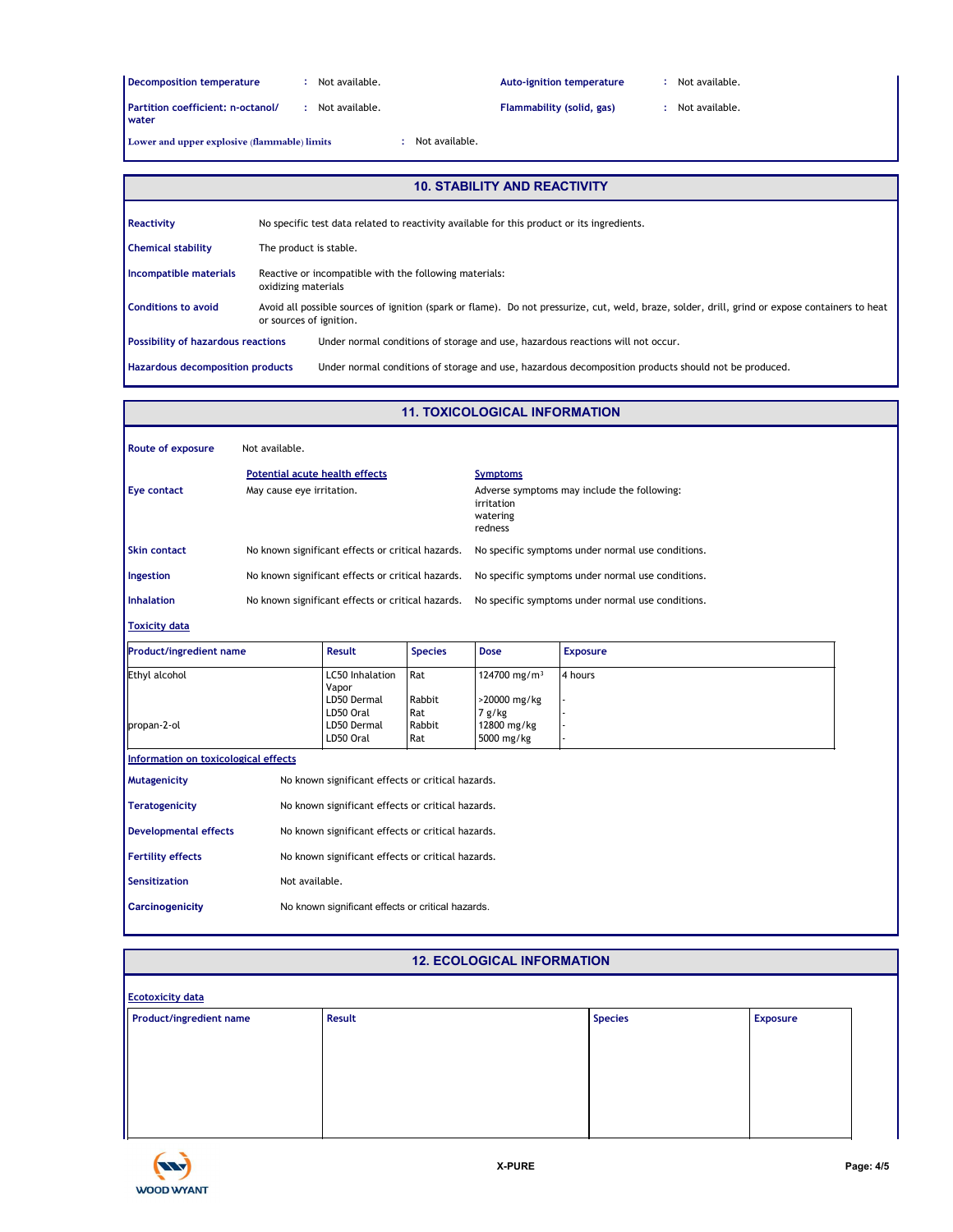| <b>Decomposition temperature</b>  |
|-----------------------------------|
| Partition coefficient; n-octanol/ |

**:** Not available. **:**

**Rub-ignition temperature** 20 Not available. And the same control of the set of the set of the set of the set of the set of the set of the set of the set of the set of the set of the set of the set of the set of the set of

**Partition coefficient: n-octanol/ :** Not available. Flammability (solid, gas) : Not available.<br>water **:**

Lower and upper explosive (flammable) limits

**:**

#### **10. STABILITY AND REACTIVITY**

| Reactivity                                            | No specific test data related to reactivity available for this product or its ingredients. |                                                                                                                                                 |
|-------------------------------------------------------|--------------------------------------------------------------------------------------------|-------------------------------------------------------------------------------------------------------------------------------------------------|
| <b>Chemical stability</b>                             | The product is stable.                                                                     |                                                                                                                                                 |
| Incompatible materials                                | Reactive or incompatible with the following materials:<br>oxidizing materials              |                                                                                                                                                 |
| <b>Conditions to avoid</b><br>or sources of ignition. |                                                                                            | Avoid all possible sources of ignition (spark or flame). Do not pressurize, cut, weld, braze, solder, drill, grind or expose containers to heat |
| <b>Possibility of hazardous reactions</b>             |                                                                                            | Under normal conditions of storage and use, hazardous reactions will not occur.                                                                 |
| <b>Hazardous decomposition products</b>               |                                                                                            | Under normal conditions of storage and use, hazardous decomposition products should not be produced.                                            |

#### **Toxicity data** Ethyl alcohol **LC50** Inhalation Rat Vapor<br>LD50 Dermal 124700 mg/m<sup>3</sup> 4 hours Rabbit >20000 mg/kg LD50 Oral Rat 7 g/kg<br>LD50 Dermal Rabbit 12800 mg/kg propan-2-ol **LD50 Dermal** Rabbit LD50 Oral Rat 5000 mg/kg **Product/ingredient name Result Species Dose Exposure Route of exposure** Inhalation No known significant effects or critical hazards. No specific symptoms under normal use conditions. No known significant effects or critical hazards. No known significant effects or critical hazards. May cause eye irritation. **Mutagenicity** No known significant effects or critical hazards. **Teratogenicity** No known significant effects or critical hazards. Developmental effects No known significant effects or critical hazards. Fertility effects **No known significant effects or critical hazards. Symptoms Skin contact Ingestion** No specific symptoms under normal use conditions. No specific symptoms under normal use conditions. Eye contact May cause eye irritation. The symptoms may include the following: irritation watering redness **Information on toxicological effects** Not available. **Potential acute health effects 11. TOXICOLOGICAL INFORMATION Sensitization** Not available. **Carcinogenicity** No known significant effects or critical hazards.

## **12. ECOLOGICAL INFORMATION**

| <b>Ecotoxicity data</b> |        |  |                |                 |
|-------------------------|--------|--|----------------|-----------------|
| Product/ingredient name | Result |  | <b>Species</b> | <b>Exposure</b> |
|                         |        |  |                |                 |
|                         |        |  |                |                 |
|                         |        |  |                |                 |
|                         |        |  |                |                 |
|                         |        |  |                |                 |
|                         |        |  |                |                 |
|                         |        |  |                |                 |